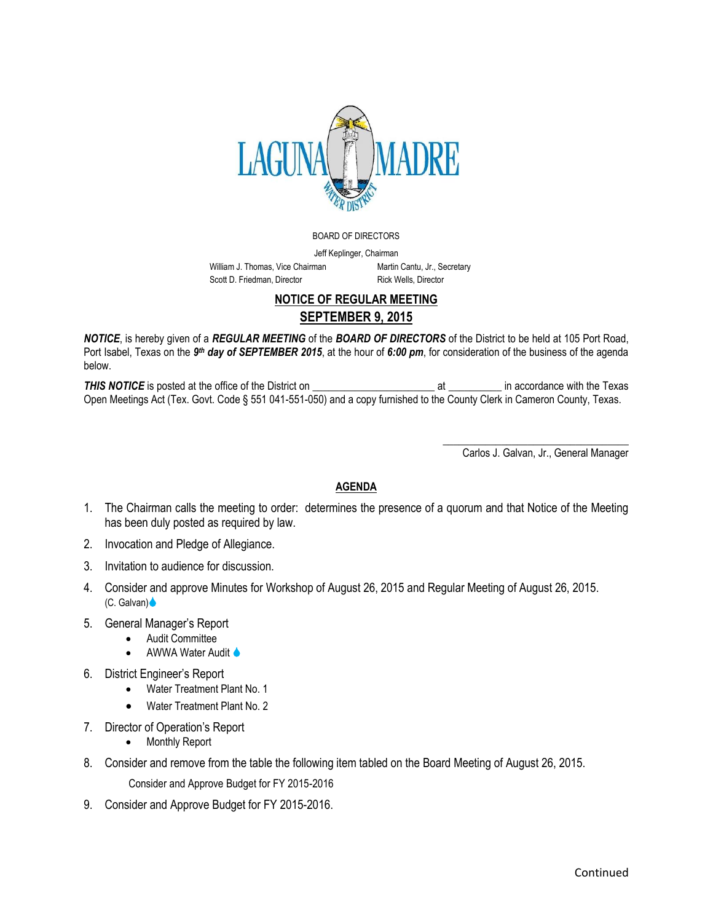

BOARD OF DIRECTORS

Jeff Keplinger, Chairman William J. Thomas, Vice Chairman Martin Cantu, Jr., Secretary Scott D. Friedman, Director Rick Wells, Director

## **NOTICE OF REGULAR MEETING SEPTEMBER 9, 2015**

*NOTICE*, is hereby given of a *REGULAR MEETING* of the *BOARD OF DIRECTORS* of the District to be held at 105 Port Road, Port Isabel, Texas on the 9<sup>th</sup> day of SEPTEMBER 2015, at the hour of 6:00 pm, for consideration of the business of the agenda below.

**THIS NOTICE** is posted at the office of the District on the content of the Texas and a secondance with the Texas Open Meetings Act (Tex. Govt. Code § 551 041-551-050) and a copy furnished to the County Clerk in Cameron County, Texas.

> \_\_\_\_\_\_\_\_\_\_\_\_\_\_\_\_\_\_\_\_\_\_\_\_\_\_\_\_\_\_\_\_\_\_\_ Carlos J. Galvan, Jr., General Manager

## **AGENDA**

- 1. The Chairman calls the meeting to order: determines the presence of a quorum and that Notice of the Meeting has been duly posted as required by law.
- 2. Invocation and Pledge of Allegiance.
- 3. Invitation to audience for discussion.
- 4. Consider and approve Minutes for Workshop of August 26, 2015 and Regular Meeting of August 26, 2015. (C. Galvan)
- 5. General Manager's Report
	- Audit Committee
	- **AWWA Water Audit ♦**
- 6. District Engineer's Report
	- Water Treatment Plant No. 1
	- Water Treatment Plant No. 2
- 7. Director of Operation's Report
	- Monthly Report
- 8. Consider and remove from the table the following item tabled on the Board Meeting of August 26, 2015.

Consider and Approve Budget for FY 2015-2016

9. Consider and Approve Budget for FY 2015-2016.